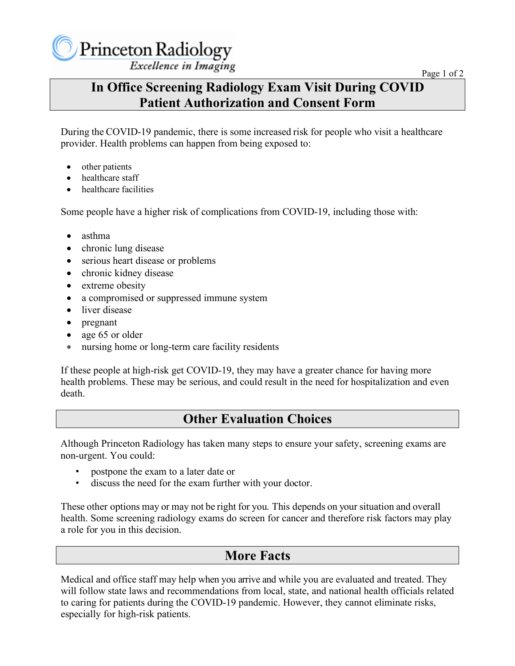## **In Office Screening Radiology Exam Visit During COVID Patient Authorization and Consent Form**

During the COVID-19 pandemic, there is some increased risk for people who visit a healthcare provider. Health problems can happen from being exposed to:

- other patients
- healthcare staff
- healthcare facilities

Some people have a higher risk of complications from COVID-19, including those with:

- asthma
- chronic lung disease
- serious heart disease or problems
- chronic kidney disease
- extreme obesity
- a compromised or suppressed immune system
- liver disease
- pregnant
- age 65 or older
- nursing home or long-term care facility residents

If these people at high-risk get COVID-19, they may have a greater chance for having more health problems. These may be serious, and could result in the need for hospitalization and even death.

## **Other Evaluation Choices**

Although Princeton Radiology has taken many steps to ensure your safety, screening exams are non-urgent. You could:

- postpone the exam to a later date or
- discuss the need for the exam further with your doctor.

These other options may or may not be right for you. This depends on your situation and overall health. Some screening radiology exams do screen for cancer and therefore risk factors may play a role for you in this decision.

## **More Facts**

Medical and office staff may help when you arrive and while you are evaluated and treated. They will follow state laws and recommendations from local, state, and national health officials related to caring for patients during the COVID-19 pandemic. However, they cannot eliminate risks, especially for high-risk patients.

Page 1 of 2